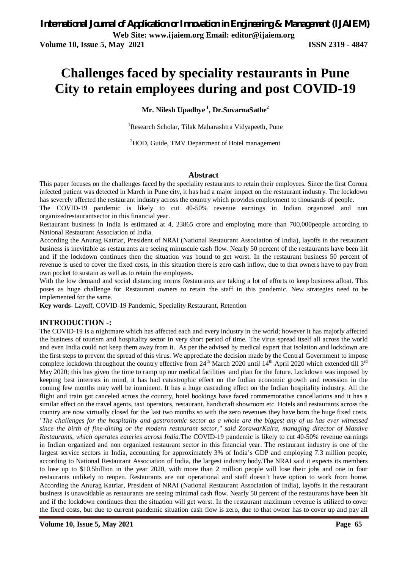# **Challenges faced by speciality restaurants in Pune City to retain employees during and post COVID-19**

**Mr. Nilesh Upadhye <sup>1</sup> , Dr.SuvarnaSathe<sup>2</sup>**

<sup>1</sup>Research Scholar, Tilak Maharashtra Vidyapeeth, Pune

<sup>2</sup>HOD, Guide, TMV Department of Hotel management

### **Abstract**

This paper focuses on the challenges faced by the speciality restaurants to retain their employees. Since the first Corona infected patient was detected in March in Pune city, it has had a major impact on the restaurant industry. The lockdown has severely affected the restaurant industry across the country which provides employment to thousands of people.

The COVID-19 pandemic is likely to cut 40-50% revenue earnings in Indian organized and non organizedrestaurantsector in this financial year.

Restaurant business in India is estimated at 4, 23865 crore and employing more than 700,000people according to National Restaurant Association of India.

According the Anurag Katriar, President of NRAI (National Restaurant Association of India), layoffs in the restaurant business is inevitable as restaurants are seeing minuscule cash flow. Nearly 50 percent of the restaurants have been hit and if the lockdown continues then the situation was bound to get worst. In the restaurant business 50 percent of revenue is used to cover the fixed costs, in this situation there is zero cash inflow, due to that owners have to pay from own pocket to sustain as well as to retain the employees.

With the low demand and social distancing norms Restaurants are taking a lot of efforts to keep business afloat. This poses as huge challenge for Restaurant owners to retain the staff in this pandemic. New strategies need to be implemented for the same.

**Key words-** Layoff, COVID-19 Pandemic, Speciality Restaurant, Retention

#### **INTRODUCTION -:**

The COVID-19 is a nightmare which has affected each and every industry in the world; however it has majorly affected the business of tourism and hospitality sector in very short period of time. The virus spread itself all across the world and even India could not keep them away from it. As per the advised by medical expert that isolation and lockdown are the first steps to prevent the spread of this virus. We appreciate the decision made by the Central Government to impose complete lockdown throughout the country effective from  $24<sup>th</sup>$  March 2020 until  $14<sup>th</sup>$  April 2020 which extended till  $3<sup>rd</sup>$ May 2020; this has given the time to ramp up our medical facilities and plan for the future. Lockdown was imposed by keeping best interests in mind, it has had catastrophic effect on the Indian economic growth and recession in the coming few months may well be imminent. It has a huge cascading effect on the Indian hospitality industry. All the flight and train got canceled across the country, hotel bookings have faced commemorative cancellations and it has a similar effect on the travel agents, taxi operators, restaurant, handicraft showroom etc. Hotels and restaurants across the country are now virtually closed for the last two months so with the zero revenues they have born the huge fixed costs. *"The challenges for the hospitality and gastronomic sector as a whole are the biggest any of us has ever witnessed since the birth of fine-dining or the modern restaurant sector," said ZorawarKalra, managing director of Massive Restaurants, which operates eateries across India.*The COVID-19 pandemic is likely to cut 40-50% revenue earnings in Indian organized and non organized restaurant sector in this financial year. The restaurant industry is one of the largest service sectors in India, accounting for approximately 3% of India's GDP and employing 7.3 million people, according to National Restaurant Association of India, the largest industry body.The NRAI said it expects its members to lose up to \$10.5billion in the year 2020, with more than 2 million people will lose their jobs and one in four restaurants unlikely to reopen. Restaurants are not operational and staff doesn't have option to work from home. According the Anurag Katriar, President of NRAI (National Restaurant Association of India), layoffs in the restaurant business is unavoidable as restaurants are seeing minimal cash flow. Nearly 50 percent of the restaurants have been hit and if the lockdown continues then the situation will get worst. In the restaurant maximum revenue is utilized to cover the fixed costs, but due to current pandemic situation cash flow is zero, due to that owner has to cover up and pay all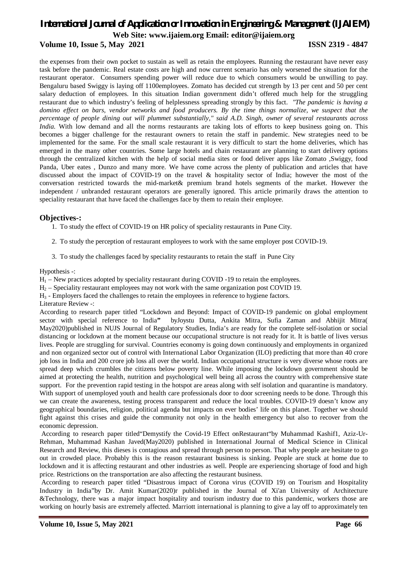# *International Journal of Application or Innovation in Engineering & Management (IJAIEM)*

**Web Site: www.ijaiem.org Email: editor@ijaiem.org**

#### **Volume 10, Issue 5, May 2021 ISSN 2319 - 4847**

the expenses from their own pocket to sustain as well as retain the employees. Running the restaurant have never easy task before the pandemic. Real estate costs are high and now current scenario has only worsened the situation for the restaurant operator. Consumers spending power will reduce due to which consumers would be unwilling to pay. Bengaluru based Swiggy is laying off 1100employees. Zomato has decided cut strength by 13 per cent and 50 per cent salary deduction of employees. In this situation Indian government didn't offered much help for the struggling restaurant due to which industry's feeling of helplessness spreading strongly by this fact. *"The pandemic is having a domino effect on bars, vendor networks and food producers. By the time things normalize, we suspect that the percentage of people dining out will plummet substantially," said A.D. Singh, owner of several restaurants across India.* With low demand and all the norms restaurants are taking lots of efforts to keep business going on. This becomes a bigger challenge for the restaurant owners to retain the staff in pandemic. New strategies need to be implemented for the same. For the small scale restaurant it is very difficult to start the home deliveries, which has emerged in the many other countries. Some large hotels and chain restaurant are planning to start delivery options through the centralized kitchen with the help of social media sites or food deliver apps like Zomato ,Swiggy, food Panda, Uber eates , Dunzo and many more. We have come across the plenty of publication and articles that have discussed about the impact of COVID-19 on the travel & hospitality sector of India; however the most of the conversation restricted towards the mid-market& premium brand hotels segments of the market. However the independent / unbranded restaurant operators are generally ignored. This article primarily draws the attention to speciality restaurant that have faced the challenges face by them to retain their employee.

#### **Objectives-:**

- 1. To study the effect of COVID-19 on HR policy of speciality restaurants in Pune City.
- 2. To study the perception of restaurant employees to work with the same employer post COVID-19.
- 3. To study the challenges faced by speciality restaurants to retain the staff in Pune City

#### Hypothesis -:

 $H<sub>1</sub>$  – New practices adopted by speciality restaurant during COVID -19 to retain the employees.

H<sup>2</sup> – Speciality restaurant employees may not work with the same organization post COVID 19.

H<sup>3</sup> - Employers faced the challenges to retain the employees in reference to hygiene factors.

Literature Review -:

According to research paper titled "Lockdown and Beyond: Impact of COVID-19 pandemic on global employment sector with special reference to India**"** byJoystu Dutta, Ankita Mitra, Sufia Zaman and Abhijit Mitra( May2020)published in NUJS Journal of Regulatory Studies, India's are ready for the complete self-isolation or social distancing or lockdown at the moment because our occupational structure is not ready for it. It is battle of lives versus lives. People are struggling for survival. Countries economy is going down continuously and employments in organized and non organized sector out of control with International Labor Organization (ILO) predicting that more than 40 crore job loss in India and 200 crore job loss all over the world. Indian occupational structure is very diverse whose roots are spread deep which crumbles the citizens below poverty line. While imposing the lockdown government should be aimed at protecting the health, nutrition and psychological well being all across the country with comprehensive state support. For the prevention rapid testing in the hotspot are areas along with self isolation and quarantine is mandatory. With support of unemployed youth and health care professionals door to door screening needs to be done. Through this we can create the awareness, testing process transparent and reduce the local troubles. COVID-19 doesn't know any geographical boundaries, religion, political agenda but impacts on ever bodies' life on this planet. Together we should fight against this crises and guide the community not only in the health emergency but also to recover from the economic depression.

According to research paper titled"Demystify the Covid-19 Effect onRestaurant"by Muhammad Kashif1, Aziz-Ur-Rehman, Muhammad Kashan Javed(May2020) published in International Journal of Medical Science in Clinical Research and Review, this dieses is contagious and spread through person to person. That why people are hesitate to go out in crowded place. Probably this is the reason restaurant business is sinking. People are stuck at home due to lockdown and it is affecting restaurant and other industries as well. People are experiencing shortage of food and high price. Restrictions on the transportation are also affecting the restaurant business.

According to research paper titled "Disastrous impact of Corona virus (COVID 19) on Tourism and Hospitality Industry in India"by Dr. Amit Kumar(2020)r published in the Journal of Xi'an University of Architecture &Technology, there was a major impact hospitality and tourism industry due to this pandemic, workers those are working on hourly basis are extremely affected. Marriott international is planning to give a lay off to approximately ten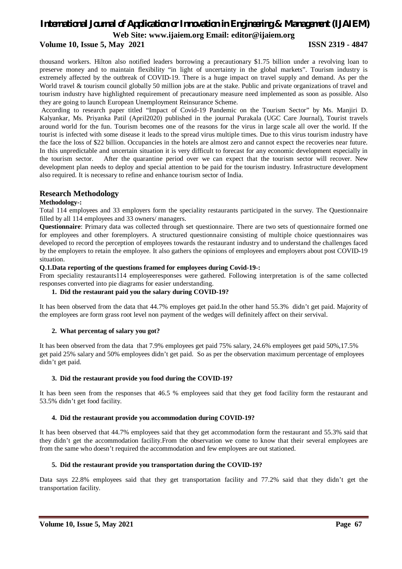#### **Volume 10, Issue 5, May 2021 ISSN 2319 - 4847**

thousand workers. Hilton also notified leaders borrowing a precautionary \$1.75 billion under a revolving loan to preserve money and to maintain flexibility "in light of uncertainty in the global markets". Tourism industry is extremely affected by the outbreak of COVID-19. There is a huge impact on travel supply and demand. As per the World travel & tourism council globally 50 million jobs are at the stake. Public and private organizations of travel and tourism industry have highlighted requirement of precautionary measure need implemented as soon as possible. Also they are going to launch European Unemployment Reinsurance Scheme.

According to research paper titled "Impact of Covid-19 Pandemic on the Tourism Sector" by Ms. Manjiri D. Kalyankar, Ms. Priyanka Patil (April2020) published in the journal Purakala (UGC Care Journal), Tourist travels around world for the fun. Tourism becomes one of the reasons for the virus in large scale all over the world. If the tourist is infected with some disease it leads to the spread virus multiple times. Due to this virus tourism industry have the face the loss of \$22 billion. Occupancies in the hotels are almost zero and cannot expect the recoveries near future. In this unpredictable and uncertain situation it is very difficult to forecast for any economic development especially in the tourism sector. After the quarantine period over we can expect that the tourism sector will recover. New development plan needs to deploy and special attention to be paid for the tourism industry. Infrastructure development also required. It is necessary to refine and enhance tourism sector of India.

### **Research Methodology**

#### **Methodology-:**

Total 114 employees and 33 employers form the speciality restaurants participated in the survey. The Questionnaire filled by all 114 employees and 33 owners/ managers.

**Questionnaire**: Primary data was collected through set questionnaire. There are two sets of questionnaire formed one for employees and other foremployers. A structured questionnaire consisting of multiple choice questionnaires was developed to record the perception of employees towards the restaurant industry and to understand the challenges faced by the employers to retain the employee. It also gathers the opinions of employees and employers about post COVID-19 situation.

#### **Q.1.Data reporting of the questions framed for employees during Covid-19-:**

From speciality restaurants114 employeeresponses were gathered. Following interpretation is of the same collected responses converted into pie diagrams for easier understanding.

#### **1. Did the restaurant paid you the salary during COVID-19?**

It has been observed from the data that 44.7% employes get paid.In the other hand 55.3% didn't get paid. Majority of the employees are form grass root level non payment of the wedges will definitely affect on their servival.

#### **2. What percentag of salary you got?**

It has been observed from the data that 7.9% employees get paid 75% salary, 24.6% employees get paid 50%,17.5% get paid 25% salary and 50% employees didn't get paid. So as per the observation maximum percentage of employees didn't get paid.

#### **3. Did the restaurant provide you food during the COVID-19?**

It has been seen from the responses that 46.5 % employees said that they get food facility form the restaurant and 53.5% didn't get food facility.

#### **4. Did the restaurant provide you accommodation during COVID-19?**

It has been observed that 44.7% employees said that they get accommodation form the restaurant and 55.3% said that they didn't get the accommodation facility.From the observation we come to know that their several employees are from the same who doesn't required the accommodation and few employees are out stationed.

#### **5. Did the restaurant provide you transportation during the COVID-19?**

Data says 22.8% employees said that they get transportation facility and 77.2% said that they didn't get the transportation facility.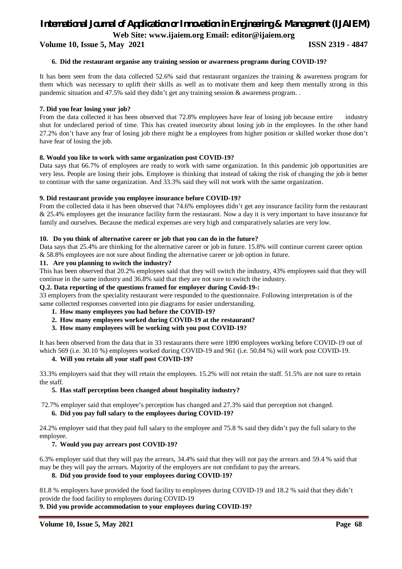**Volume 10, Issue 5, May 2021 ISSN 2319 - 4847**

#### **6. Did the restaurant organise any training session or awareness programs during COVID-19?**

It has been seen from the data collected 52.6% said that restaurant organizes the training & awareness program for them which was necessary to uplift their skills as well as to motivate them and keep them mentally strong in this pandemic situation and 47.5% said they didn't get any training session & awareness program. .

#### **7. Did you fear losing your job?**

From the data collected it has been observed that 72.8% employees have fear of losing job because entire industry shut for undeclared period of time. This has created insecurity about losing job in the employees. In the other hand 27.2% don't have any fear of losing job there might be a employees from higher position or skilled worker those don't have fear of losing the job.

#### **8. Would you like to work with same organization post COVID-19?**

Data says that 66.7% of employees are ready to work with same organization. In this pandemic job opportunities are very less. People are losing their jobs. Employee is thinking that instead of taking the risk of changing the job it better to continue with the same organization. And 33.3% said they will not work with the same organization.

#### **9. Did restaurant provide you employee insurance before COVID-19?**

From the collected data it has been observed that 74.6% employees didn't get any insurance facility form the restaurant & 25.4% employees get the insurance facility form the restaurant. Now a day it is very important to have insurance for family and ourselves. Because the medical expenses are very high and comparatively salaries are very low.

#### **10. Do you think of alternative career or job that you can do in the future?**

Data says that 25.4% are thinking for the alternative career or job in future. 15.8% will continue current career option & 58.8% employees are not sure about finding the alternative career or job option in future.

#### **11. Are you planning to switch the industry?**

This has been observed that 20.2% employees said that they will switch the industry, 43% employees said that they will continue in the same industry and 36.8% said that they are not sure to switch the industry.

#### **Q.2. Data reporting of the questions framed for employer during Covid-19-:**

33 employers from the speciality restaurant were responded to the questionnaire. Following interpretation is of the same collected responses converted into pie diagrams for easier understanding.

- **1. How many employees you had before the COVID-19?**
- **2. How many employees worked during COVID-19 at the restaurant?**
- **3. How many employees will be working with you post COVID-19?**

It has been observed from the data that in 33 restaurants there were 1890 employees working before COVID-19 out of which 569 (i.e. 30.10 %) employees worked during COVID-19 and 961 (i.e. 50.84 %) will work post COVID-19.

#### **4. Will you retain all your staff post COVID-19?**

33.3% employers said that they will retain the employees. 15.2% will not retain the staff. 51.5% are not sure to retain the staff.

#### **5. Has staff perception been changed about hospitality industry?**

72.7% employer said that employee's perception has changed and 27.3% said that perception not changed. **6. Did you pay full salary to the employees during COVID-19?** 

24.2% employer said that they paid full salary to the employee and 75.8 % said they didn't pay the full salary to the employee.

#### **7. Would you pay arrears post COVID-19?**

6.3% employer said that they will pay the arrears, 34.4% said that they will not pay the arrears and 59.4 % said that may be they will pay the arrears. Majority of the employers are not confidant to pay the arrears.

#### **8. Did you provide food to your employees during COVID-19?**

81.8 % employers have provided the food facility to employees during COVID-19 and 18.2 % said that they didn't provide the food facility to employees during COVID-19

#### **9. Did you provide accommodation to your employees during COVID-19?**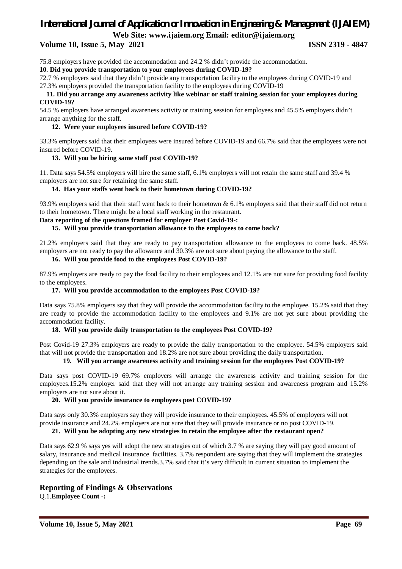**Volume 10, Issue 5, May 2021 ISSN 2319 - 4847**

75.8 employers have provided the accommodation and 24.2 % didn't provide the accommodation.

**10**. **Did you provide transportation to your employees during COVID-19?** 

72.7 % employers said that they didn't provide any transportation facility to the employees during COVID-19 and 27.3% employers provided the transportation facility to the employees during COVID-19

#### **11. Did you arrange any awareness activity like webinar or staff training session for your employees during COVID-19?**

54.5 % employers have arranged awareness activity or training session for employees and 45.5% employers didn't arrange anything for the staff.

#### **12. Were your employees insured before COVID-19?**

33.3% employers said that their employees were insured before COVID-19 and 66.7% said that the employees were not insured before COVID-19.

#### **13. Will you be hiring same staff post COVID-19?**

11. Data says 54.5% employers will hire the same staff, 6.1% employers will not retain the same staff and 39.4 % employers are not sure for retaining the same staff.

#### **14. Has your staffs went back to their hometown during COVID-19?**

93.9% employers said that their staff went back to their hometown & 6.1% employers said that their staff did not return to their hometown. There might be a local staff working in the restaurant.

#### **Data reporting of the questions framed for employer Post Covid-19-:**

#### **15. Will you provide transportation allowance to the employees to come back?**

21.2% employers said that they are ready to pay transportation allowance to the employees to come back. 48.5% employers are not ready to pay the allowance and 30.3% are not sure about paying the allowance to the staff.

#### **16. Will you provide food to the employees Post COVID-19?**

87.9% employers are ready to pay the food facility to their employees and 12.1% are not sure for providing food facility to the employees.

#### **17. Will you provide accommodation to the employees Post COVID-19?**

Data says 75.8% employers say that they will provide the accommodation facility to the employee. 15.2% said that they are ready to provide the accommodation facility to the employees and 9.1% are not yet sure about providing the accommodation facility.

#### **18. Will you provide daily transportation to the employees Post COVID-19?**

Post Covid-19 27.3% employers are ready to provide the daily transportation to the employee. 54.5% employers said that will not provide the transportation and 18.2% are not sure about providing the daily transportation.

#### **19. Will you arrange awareness activity and training session for the employees Post COVID-19?**

Data says post COVID-19 69.7% employers will arrange the awareness activity and training session for the employees.15.2% employer said that they will not arrange any training session and awareness program and 15.2% employers are not sure about it.

#### **20. Will you provide insurance to employees post COVID-19?**

Data says only 30.3% employers say they will provide insurance to their employees. 45.5% of employers will not provide insurance and 24.2% employers are not sure that they will provide insurance or no post COVID-19.

#### **21. Will you be adopting any new strategies to retain the employee after the restaurant open?**

Data says 62.9 % says yes will adopt the new strategies out of which 3.7 % are saying they will pay good amount of salary, insurance and medical insurance facilities. 3.7% respondent are saying that they will implement the strategies depending on the sale and industrial trends.3.7% said that it's very difficult in current situation to implement the strategies for the employees.

#### **Reporting of Findings & Observations**

Q.1.**Employee Count -:**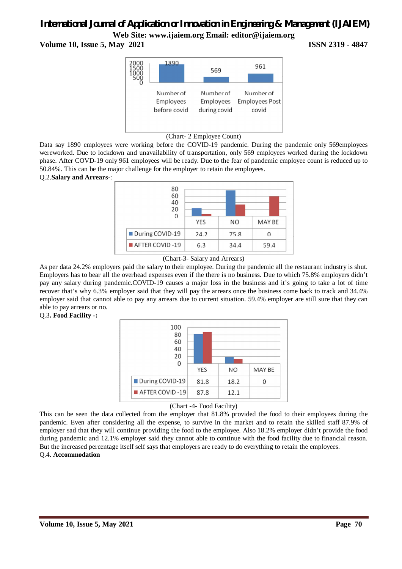# *International Journal of Application or Innovation in Engineering & Management (IJAIEM)*

**Web Site: www.ijaiem.org Email: editor@ijaiem.org Volume 10, Issue 5, May 2021 ISSN 2319 - 4847**



(Chart- 2 Employee Count)

Data say 1890 employees were working before the COVID-19 pandemic. During the pandemic only 569employees wereworked. Due to lockdown and unavailability of transportation, only 569 employees worked during the lockdown phase. After COVD-19 only 961 employees will be ready. Due to the fear of pandemic employee count is reduced up to 50.84%. This can be the major challenge for the employer to retain the employees.

Q.2.**Salary and Arrears**-:



<sup>(</sup>Chart-3- Salary and Arrears)

As per data 24.2% employers paid the salary to their employee. During the pandemic all the restaurant industry is shut. Employers has to bear all the overhead expenses even if the there is no business. Due to which 75.8% employers didn't pay any salary during pandemic.COVID-19 causes a major loss in the business and it's going to take a lot of time recover that's why 6.3% employer said that they will pay the arrears once the business come back to track and 34.4% employer said that cannot able to pay any arrears due to current situation. 59.4% employer are still sure that they can able to pay arrears or no.

Q.3**. Food Facility -:** 





This can be seen the data collected from the employer that 81.8% provided the food to their employees during the pandemic. Even after considering all the expense, to survive in the market and to retain the skilled staff 87.9% of employer sad that they will continue providing the food to the employee. Also 18.2% employer didn't provide the food during pandemic and 12.1% employer said they cannot able to continue with the food facility due to financial reason. But the increased percentage itself self says that employers are ready to do everything to retain the employees. Q.4. **Accommodation**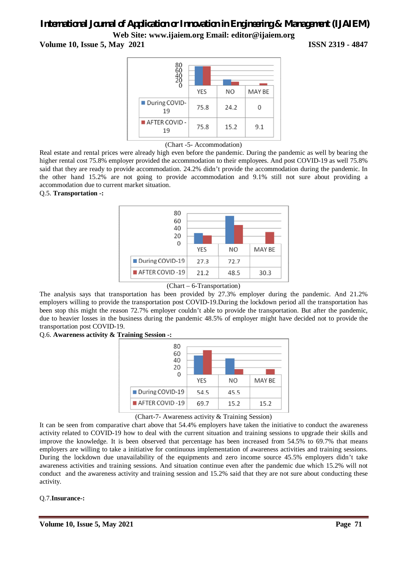**Volume 10, Issue 5, May 2021 ISSN 2319 - 4847**



<sup>(</sup>Chart -5- Accommodation)

Real estate and rental prices were already high even before the pandemic. During the pandemic as well by bearing the higher rental cost 75.8% employer provided the accommodation to their employees. And post COVID-19 as well 75.8% said that they are ready to provide accommodation. 24.2% didn't provide the accommodation during the pandemic. In the other hand 15.2% are not going to provide accommodation and 9.1% still not sure about providing a accommodation due to current market situation.

#### Q.5. **Transportation -:**



#### (Chart – 6-Transportation)

The analysis says that transportation has been provided by 27.3% employer during the pandemic. And 21.2% employers willing to provide the transportation post COVID-19.During the lockdown period all the transportation has been stop this might the reason 72.7% employer couldn't able to provide the transportation. But after the pandemic, due to heavier losses in the business during the pandemic 48.5% of employer might have decided not to provide the transportation post COVID-19.

#### Q.6. **Awareness activity & Training Session -:**

| 80<br>60<br>40<br>20<br>U     |            |                |        |
|-------------------------------|------------|----------------|--------|
|                               | <b>YES</b> | N <sub>O</sub> | MAY BE |
| During COVID-19               | 54.5       | 45.5           |        |
| $\blacksquare$ AFTER COVID-19 | 69.7       | 15.2           | 15.2   |

#### (Chart-7- Awareness activity & Training Session)

It can be seen from comparative chart above that 54.4% employers have taken the initiative to conduct the awareness activity related to COVID-19 how to deal with the current situation and training sessions to upgrade their skills and improve the knowledge. It is been observed that percentage has been increased from 54.5% to 69.7% that means employers are willing to take a initiative for continuous implementation of awareness activities and training sessions. During the lockdown due unavailability of the equipments and zero income source 45.5% employers didn't take awareness activities and training sessions. And situation continue even after the pandemic due which 15.2% will not conduct and the awareness activity and training session and 15.2% said that they are not sure about conducting these activity.

#### Q.7.**Insurance-:**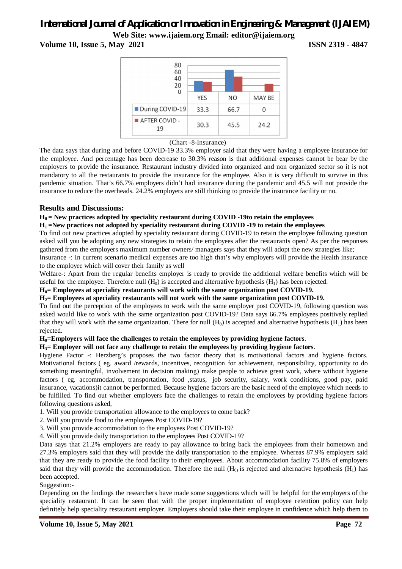# *International Journal of Application or Innovation in Engineering & Management (IJAIEM)*

**Web Site: www.ijaiem.org Email: editor@ijaiem.org Volume 10, Issue 5, May 2021 ISSN 2319 - 4847**



(Chart -8-Insurance)

The data says that during and before COVID-19 33.3% employer said that they were having a employee insurance for the employee. And percentage has been decrease to 30.3% reason is that additional expenses cannot be bear by the employers to provide the insurance. Restaurant industry divided into organized and non organized sector so it is not mandatory to all the restaurants to provide the insurance for the employee. Also it is very difficult to survive in this pandemic situation. That's 66.7% employers didn't had insurance during the pandemic and 45.5 will not provide the insurance to reduce the overheads. 24.2% employers are still thinking to provide the insurance facility or no.

### **Results and Discussions:**

#### **H0 = New practices adopted by speciality restaurant during COVID -19to retain the employees**

#### **H1 =New practices not adopted by speciality restaurant during COVID -19 to retain the employees**

To find out new practices adopted by speciality restaurant during COVID-19 to retain the employee following question asked will you be adopting any new strategies to retain the employees after the restaurants open? As per the responses gathered from the employers maximum number owners/ managers says that they will adopt the new strategies like;

Insurance -: In current scenario medical expenses are too high that's why employers will provide the Health insurance to the employee which will cover their family as well

Welfare-: Apart from the regular benefits employer is ready to provide the additional welfare benefits which will be useful for the employee. Therefore null  $(H_0)$  is accepted and alternative hypothesis  $(H_1)$  has been rejected.

#### **H0= Employees at speciality restaurants will work with the same organization post COVID-19.**

#### **H2= Employees at speciality restaurants will not work with the same organization post COVID-19.**

To find out the perception of the employees to work with the same employer post COVID-19, following question was asked would like to work with the same organization post COVID-19? Data says 66.7% employees positively replied that they will work with the same organization. There for null  $(H_0)$  is accepted and alternative hypothesis  $(H_1)$  has been rejected.

#### **H0=Employers will face the challenges to retain the employees by providing hygiene factors**.

#### **H3= Employer will not face any challenge to retain the employees by providing hygiene factors**.

Hygiene Factor -: Herzberg's proposes the two factor theory that is motivational factors and hygiene factors. Motivational factors ( eg. award /rewards, incentives, recognition for achievement, responsibility, opportunity to do something meaningful, involvement in decision making) make people to achieve great work, where without hygiene factors ( eg. accommodation, transportation, food ,status, job security, salary, work conditions, good pay, paid insurance, vacations)it cannot be performed. Because hygiene factors are the basic need of the employee which needs to be fulfilled. To find out whether employers face the challenges to retain the employees by providing hygiene factors following questions asked,

1. Will you provide transportation allowance to the employees to come back?

- 2. Will you provide food to the employees Post COVID-19?
- 3. Will you provide accommodation to the employees Post COVID-19?
- 4. Will you provide daily transportation to the employees Post COVID-19?

Data says that 21.2% employers are ready to pay allowance to bring back the employees from their hometown and 27.3% employers said that they will provide the daily transportation to the employee. Whereas 87.9% employers said that they are ready to provide the food facility to their employees. About accommodation facility 75.8% of employers said that they will provide the accommodation. Therefore the null  $(H_0)$  is rejected and alternative hypothesis  $(H_1)$  has been accepted.

Suggestion:-

Depending on the findings the researchers have made some suggestions which will be helpful for the employers of the speciality restaurant. It can be seen that with the proper implementation of employee retention policy can help definitely help speciality restaurant employer. Employers should take their employee in confidence which help them to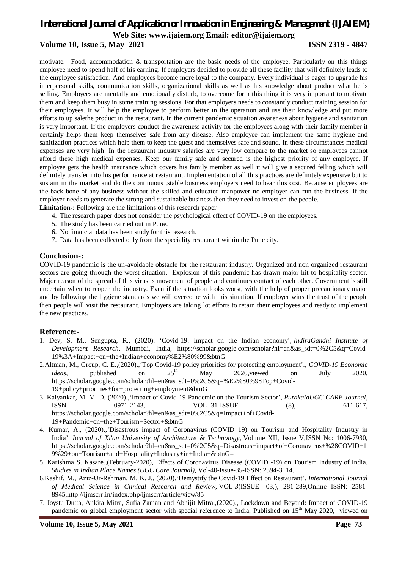### **Volume 10, Issue 5, May 2021 ISSN 2319 - 4847**

motivate. Food, accommodation & transportation are the basic needs of the employee. Particularly on this things employee need to spend half of his earning. If employers decided to provide all these facility that will definitely leads to the employee satisfaction. And employees become more loyal to the company. Every individual is eager to upgrade his interpersonal skills, communication skills, organizational skills as well as his knowledge about product what he is selling. Employees are mentally and emotionally disturb, to overcome form this thing it is very important to motivate them and keep them busy in some training sessions. For that employers needs to constantly conduct training session for their employees. It will help the employee to perform better in the operation and use their knowledge and put more efforts to up salethe product in the restaurant. In the current pandemic situation awareness about hygiene and sanitation is very important. If the employers conduct the awareness activity for the employees along with their family member it certainly helps them keep themselves safe from any disease. Also employee can implement the same hygiene and sanitization practices which help them to keep the guest and themselves safe and sound. In these circumstances medical expenses are very high. In the restaurant industry salaries are very low compare to the market so employees cannot afford these high medical expenses. Keep our family safe and secured is the highest priority of any employee. If employee gets the health insurance which covers his family member as well it will give a secured felling which will definitely transfer into his performance at restaurant. Implementation of all this practices are definitely expensive but to sustain in the market and do the continuous , stable business employers need to bear this cost. Because employees are the back bone of any business without the skilled and educated manpower no employer can run the business. If the employer needs to generate the strong and sustainable business then they need to invest on the people.

**Limitation-:** Following are the limitations of this research paper

- 4. The research paper does not consider the psychological effect of COVID-19 on the employees.
- 5. The study has been carried out in Pune.
- 6. No financial data has been study for this research.
- 7. Data has been collected only from the speciality restaurant within the Pune city.

#### **Conclusion-:**

COVID-19 pandemic is the un-avoidable obstacle for the restaurant industry. Organized and non organized restaurant sectors are going through the worst situation. Explosion of this pandemic has drawn major hit to hospitality sector. Major reason of the spread of this virus is movement of people and continues contact of each other. Government is still uncertain when to reopen the industry. Even if the situation looks worst, with the help of proper precautionary major and by following the hygiene standards we will overcome with this situation. If employer wins the trust of the people then people will visit the restaurant. Employers are taking lot efforts to retain their employees and ready to implement the new practices.

#### **Reference:-**

- 1. Dev, S. M., Sengupta, R., (2020). 'Covid-19: Impact on the Indian economy', *IndiraGandhi Institute of Development Research,* Mumbai, India, https://scholar.google.com/scholar?hl=en&as\_sdt=0%2C5&q=Covid-19%3A+Impact+on+the+Indian+economy%E2%80%99&btnG
- 2.Altman, M., Group, C. E.,(2020).,'Top Covid-19 policy priorities for protecting employment'., *COVID-19 Economic ideas*, published on  $25<sup>th</sup>$  May 2020, viewed on July 2020, https://scholar.google.com/scholar?hl=en&as\_sdt=0%2C5&q=%E2%80%98Top+Covid-19+policy+priorities+for+protecting+employment&btnG
- 3. Kalyankar, M. M. D. (2020).,'Impact of Covid-19 Pandemic on the Tourism Sector', *PurakalaUGC CARE Journal,*  ISSN 0971-2143, VOL- 31-ISSUE (8), 611-617, https://scholar.google.com/scholar?hl=en&as\_sdt=0%2C5&q=Impact+of+Covid-19+Pandemic+on+the+Tourism+Sector+&btnG
- 4. Kumar, A., (2020).,'Disastrous impact of Coronavirus (COVID 19) on Tourism and Hospitality Industry in India'. *Journal of Xi'an University of Architecture & Technology*, Volume XII, Issue V,ISSN No: 1006-7930, https://scholar.google.com/scholar?hl=en&as\_sdt=0%2C5&q=Disastrous+impact+of+Coronavirus+%28COVID+1 9%29+on+Tourism+and+Hospitality+Industry+in+India+&btnG=
- 5. Karishma S. Kasare.,(February-2020), Effects of Coronavirus Disease (COVID -19) on Tourism Industry of India, *Studies in Indian Place Names (UGC Care Journal),* Vol-40-Issue-35-ISSN: 2394-3114.
- 6.Kashif, M., Aziz-Ur-Rehman, M. K. J., (2020).'Demystify the Covid-19 Effect on Restaurant'. *International Journal of Medical Science in Clinical Research and Review*, VOL-*3*(ISSUE- 03,), 281-289,Online ISSN: 2581- 8945,http://ijmscrr.in/index.php/ijmscrr/article/view/85
- 7. Joystu Dutta, Ankita Mitra, Sufia Zaman and Abhijit Mitra.,(2020)., Lockdown and Beyond: Impact of COVID-19 pandemic on global employment sector with special reference to India, Published on 15<sup>th</sup> May 2020, viewed on